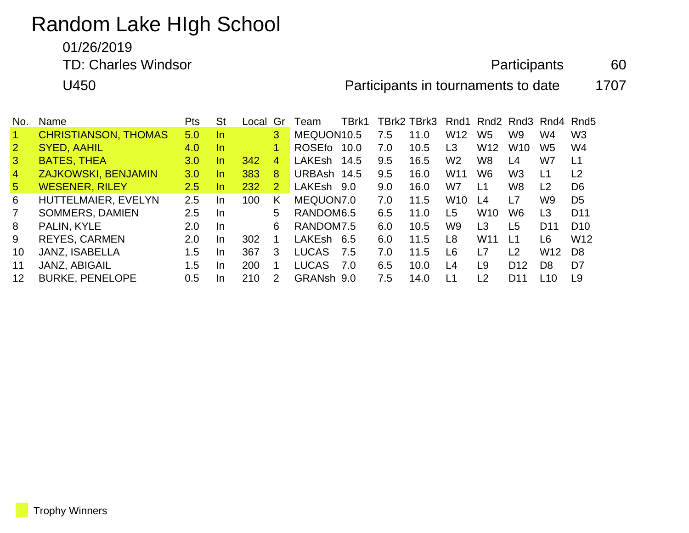# Random Lake HIgh School

01/26/2019

TD: Charles Windsor **Charles Windsor Participants** 60

U450 Participants in tournaments to date 1707

| No.            | Name                        | <b>Pts</b>    | <b>St</b> | Local | Gr             | Team          | TBrk1 |     | TBrk2 TBrk3 |                 | Rnd1 Rnd2 Rnd3 Rnd4 Rnd5 |                 |                 |                 |
|----------------|-----------------------------|---------------|-----------|-------|----------------|---------------|-------|-----|-------------|-----------------|--------------------------|-----------------|-----------------|-----------------|
|                | <b>CHRISTIANSON, THOMAS</b> | 5.0           | -In       |       | 3              | MEQUON10.5    |       | 7.5 | 11.0        | W <sub>12</sub> | W <sub>5</sub>           | W9              | W4              | W <sub>3</sub>  |
| 2              | <b>SYED, AAHIL</b>          | 4.0           | In.       |       | $\blacksquare$ | <b>ROSEfo</b> | 10.0  | 7.0 | 10.5        | L3              | W <sub>12</sub>          | W <sub>10</sub> | W <sub>5</sub>  | W4              |
| $\mathbf{3}$   | <b>BATES, THEA</b>          | 3.0           | In.       | 342   | $\overline{4}$ | <b>LAKEsh</b> | 14.5  | 9.5 | 16.5        | W <sub>2</sub>  | W <sub>8</sub>           | L4              | W7              | L1              |
| $\overline{4}$ | <b>ZAJKOWSKI, BENJAMIN</b>  | 3.0           | In.       | 383   | 8              | URBAsh 14.5   |       | 9.5 | 16.0        | W <sub>11</sub> | W6                       | W <sub>3</sub>  | L1              | L2              |
| 5 <sup>5</sup> | <b>WESENER, RILEY</b>       | $2.5^{\circ}$ | In.       | 232   | 2              | LAKEsh 9.0    |       | 9.0 | 16.0        | W7              | L1                       | W8              | L <sub>2</sub>  | D <sub>6</sub>  |
| 6              | HUTTELMAIER, EVELYN         | 2.5           | In.       | 100   | K              | MEQUON7.0     |       | 7.0 | 11.5        | W <sub>10</sub> | L4                       | L7              | W <sub>9</sub>  | D <sub>5</sub>  |
| $\overline{7}$ | SOMMERS, DAMIEN             | 2.5           | <b>In</b> |       | 5              | RANDOM6.5     |       | 6.5 | 11.0        | L5              | W <sub>10</sub>          | W <sub>6</sub>  | L <sub>3</sub>  | D <sub>11</sub> |
| 8              | PALIN, KYLE                 | 2.0           | In.       |       | 6              | RANDOM7.5     |       | 6.0 | 10.5        | W9              | L3                       | L5              | D <sub>11</sub> | D <sub>10</sub> |
| 9              | <b>REYES, CARMEN</b>        | 2.0           | In.       | 302   |                | LAKEsh        | 6.5   | 6.0 | 11.5        | L8              | W <sub>11</sub>          | L1              | L <sub>6</sub>  | W <sub>12</sub> |
| 10             | <b>JANZ, ISABELLA</b>       | 1.5           | In.       | 367   | 3              | <b>LUCAS</b>  | 7.5   | 7.0 | 11.5        | L6              | L7                       | L2              | W <sub>12</sub> | D <sub>8</sub>  |
| 11             | JANZ, ABIGAIL               | 1.5           | In.       | 200   | 1.             | <b>LUCAS</b>  | 7.0   | 6.5 | 10.0        | L4              | L9                       | D <sub>12</sub> | D8              | D <sub>7</sub>  |
| 12             | <b>BURKE, PENELOPE</b>      | 0.5           | In.       | 210   | $\overline{2}$ | <b>GRANsh</b> | 9.0   | 7.5 | 14.0        | L1              | L <sub>2</sub>           | D11             | L10             | L9              |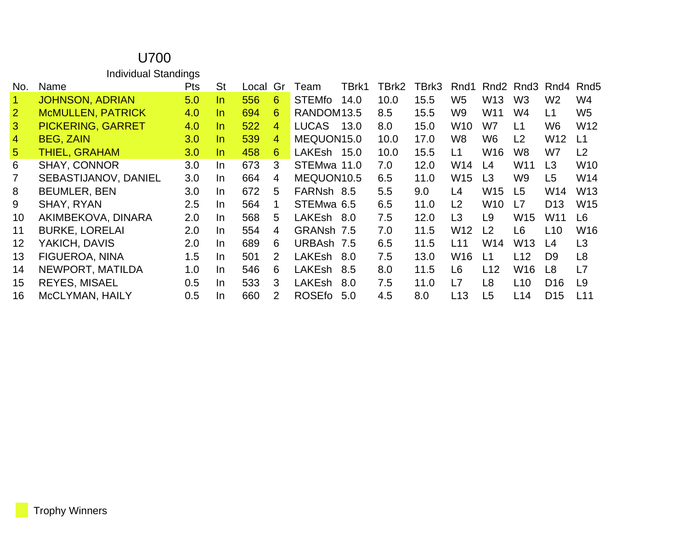#### U700 Individual Standings No. Name **Pts** St Local Gr Team TBrk1 TBrk2 TBrk3 Rnd1 Rnd2 Rnd3 Rnd4 Rnd5 JOHNSON, ADRIAN 5.0 In 556 6 STEMfo 14.0 10.0 15.5 W5 W13 W3 W2 W4 McMULLEN, PATRICK 4.0 In 694 6 RANDOM13.5 8.5 15.5 W9 W11 W4 L1 W5 PICKERING, GARRET 4.0 In 522 4 LUCAS 13.0 8.0 15.0 W10 W7 L1 W6 W12 BEG, ZAIN 3.0 In 539 4 MEQUON15.0 10.0 17.0 W8 W6 L2 W12 L1 THIEL, GRAHAM 3.0 In 458 6 LAKEsh 15.0 10.0 15.5 L1 W16 W8 W7 L2 SHAY, CONNOR 3.0 In 673 3 STEMwa 11.0 7.0 12.0 W14 L4 W11 L3 W10 SEBASTIJANOV, DANIEL 3.0 In 664 4 MEQUON10.5 6.5 11.0 W15 L3 W9 L5 W14 BEUMLER, BEN 3.0 In 672 5 FARNsh 8.5 5.5 9.0 L4 W15 L5 W14 W13 SHAY, RYAN 2.5 In 564 1 STEMwa 6.5 6.5 11.0 L2 W10 L7 D13 W15 AKIMBEKOVA, DINARA 2.0 In 568 5 LAKEsh 8.0 7.5 12.0 L3 L9 W15 W11 L6 BURKE, LORELAI 2.0 In 554 4 GRANsh 7.5 7.0 11.5 W12 L2 L6 L10 W16 YAKICH, DAVIS 2.0 In 689 6 URBAsh 7.5 6.5 11.5 L11 W14 W13 L4 L3 FIGUEROA, NINA 1.5 In 501 2 LAKEsh 8.0 7.5 13.0 W16 L1 L12 D9 L8 NEWPORT, MATILDA 1.0 In 546 6 LAKEsh 8.5 8.0 11.5 L6 L12 W16 L8 L7 REYES, MISAEL 0.5 In 533 3 LAKEsh 8.0 7.5 11.0 L7 L8 L10 D16 L9 McCLYMAN, HAILY 0.5 In 660 2 ROSEfo 5.0 4.5 8.0 L13 L5 L14 D15 L11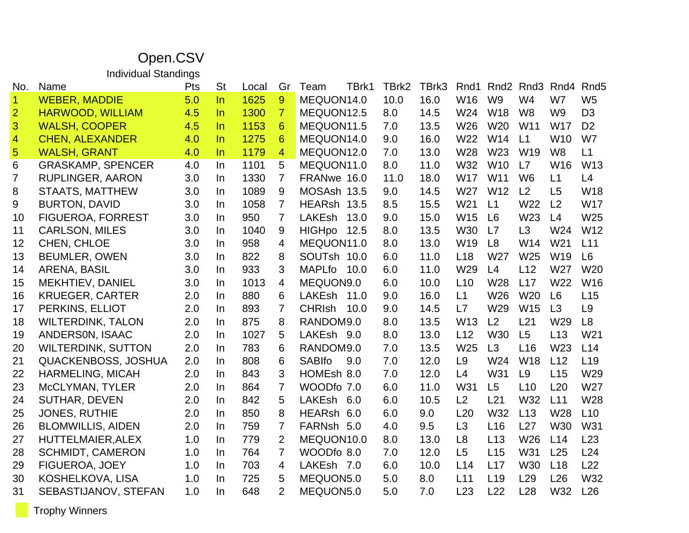## Open.CSV

Individual Standings

| No.                     | Name                       | Pts | <b>St</b> | Local | Gr             | TBrk1<br>Team         | TBrk2 | TBrk3 | Rnd1            |                 | Rnd <sub>2</sub> Rnd <sub>3</sub> | Rnd4            | Rnd <sub>5</sub> |
|-------------------------|----------------------------|-----|-----------|-------|----------------|-----------------------|-------|-------|-----------------|-----------------|-----------------------------------|-----------------|------------------|
| $\overline{1}$          | <b>WEBER, MADDIE</b>       | 5.0 | ln        | 1625  | 9              | MEQUON14.0            | 10.0  | 16.0  | W16             | W <sub>9</sub>  | W <sub>4</sub>                    | W7              | W <sub>5</sub>   |
| $\overline{2}$          | <b>HARWOOD, WILLIAM</b>    | 4.5 | In.       | 1300  | $\overline{7}$ | MEQUON12.5            | 8.0   | 14.5  | W24             | <b>W18</b>      | W <sub>8</sub>                    | W <sub>9</sub>  | D <sub>3</sub>   |
| 3                       | <b>WALSH, COOPER</b>       | 4.5 | $\ln$     | 1153  | 6              | MEQUON11.5            | 7.0   | 13.5  | W26             | <b>W20</b>      | W <sub>11</sub>                   | <b>W17</b>      | D <sub>2</sub>   |
| $\overline{\mathbf{4}}$ | <b>CHEN, ALEXANDER</b>     | 4.0 | ln        | 1275  | 6              | MEQUON14.0            | 9.0   | 16.0  | W22             | W14             | L1                                | W <sub>10</sub> | W7               |
| $\overline{5}$          | <b>WALSH, GRANT</b>        | 4.0 | In.       | 1179  | $\overline{4}$ | MEQUON12.0            | 7.0   | 13.0  | W28             | W23             | W <sub>19</sub>                   | W <sub>8</sub>  | L1               |
| 6                       | <b>GRASKAMP, SPENCER</b>   | 4.0 | In        | 1101  | 5              | MEQUON11.0            | 8.0   | 11.0  | W32             | W10             | L7                                | W16             | W13              |
| 7                       | <b>RUPLINGER, AARON</b>    | 3.0 | In.       | 1330  | $\overline{7}$ | FRANwe 16.0           | 11.0  | 18.0  | <b>W17</b>      | W11             | W <sub>6</sub>                    | L1              | L4               |
| 8                       | <b>STAATS, MATTHEW</b>     | 3.0 | In        | 1089  | 9              | MOSAsh 13.5           | 9.0   | 14.5  | W27             | W12             | L2                                | L <sub>5</sub>  | <b>W18</b>       |
| 9                       | <b>BURTON, DAVID</b>       | 3.0 | In        | 1058  | $\overline{7}$ | HEARsh 13.5           | 8.5   | 15.5  | W21             | L1              | W22                               | L <sub>2</sub>  | <b>W17</b>       |
| 10                      | <b>FIGUEROA, FORREST</b>   | 3.0 | In        | 950   | 7              | <b>LAKEsh</b><br>13.0 | 9.0   | 15.0  | W15             | L <sub>6</sub>  | W23                               | L4              | W25              |
| 11                      | CARLSON, MILES             | 3.0 | In.       | 1040  | 9              | <b>HIGHpo</b><br>12.5 | 8.0   | 13.5  | W30             | L7              | L3                                | W24             | W12              |
| 12                      | CHEN, CHLOE                | 3.0 | $\ln$     | 958   | $\overline{4}$ | MEQUON11.0            | 8.0   | 13.0  | W <sub>19</sub> | L8              | W14                               | W <sub>21</sub> | L11              |
| 13                      | <b>BEUMLER, OWEN</b>       | 3.0 | In        | 822   | 8              | SOUTsh 10.0           | 6.0   | 11.0  | L18             | W27             | W25                               | W19             | L6               |
| 14                      | ARENA, BASIL               | 3.0 | In.       | 933   | 3              | <b>MAPLfo</b><br>10.0 | 6.0   | 11.0  | W29             | L4              | L12                               | W27             | W <sub>20</sub>  |
| 15                      | MEKHTIEV, DANIEL           | 3.0 | In        | 1013  | 4              | MEQUON9.0             | 6.0   | 10.0  | L10             | W28             | L17                               | W22             | W16              |
| 16                      | <b>KRUEGER, CARTER</b>     | 2.0 | In.       | 880   | 6              | LAKEsh<br>11.0        | 9.0   | 16.0  | L1              | W26             | W <sub>20</sub>                   | L <sub>6</sub>  | L15              |
| 17                      | PERKINS, ELLIOT            | 2.0 | In        | 893   | $\overline{7}$ | <b>CHRIsh</b><br>10.0 | 9.0   | 14.5  | L7              | W29             | W15                               | L3              | L <sub>9</sub>   |
| 18                      | <b>WILTERDINK, TALON</b>   | 2.0 | In        | 875   | 8              | RANDOM9.0             | 8.0   | 13.5  | W <sub>13</sub> | L2              | L21                               | W29             | L8               |
| 19                      | ANDERSON, ISAAC            | 2.0 | In.       | 1027  | 5              | LAKEsh 9.0            | 8.0   | 13.0  | L12             | <b>W30</b>      | L5                                | L13             | W21              |
| 20                      | <b>WILTERDINK, SUTTON</b>  | 2.0 | In.       | 783   | 6              | RANDOM9.0             | 7.0   | 13.5  | W25             | L3              | L16                               | W23             | L14              |
| 21                      | <b>QUACKENBOSS, JOSHUA</b> | 2.0 | In.       | 808   | 6              | <b>SABIfo</b><br>9.0  | 7.0   | 12.0  | L <sub>9</sub>  | W24             | <b>W18</b>                        | L12             | L <sub>19</sub>  |
| 22                      | <b>HARMELING, MICAH</b>    | 2.0 | In        | 843   | 3              | HOMEsh 8.0            | 7.0   | 12.0  | L4              | W31             | L <sub>9</sub>                    | L15             | W29              |
| 23                      | McCLYMAN, TYLER            | 2.0 | In.       | 864   | $\overline{7}$ | WOODfo 7.0            | 6.0   | 11.0  | W31             | L <sub>5</sub>  | L10                               | L20             | W27              |
| 24                      | SUTHAR, DEVEN              | 2.0 | In        | 842   | 5              | LAKEsh<br>6.0         | 6.0   | 10.5  | L2              | L21             | W32                               | L11             | W28              |
| 25                      | <b>JONES, RUTHIE</b>       | 2.0 | In.       | 850   | 8              | HEARsh 6.0            | 6.0   | 9.0   | L20             | W32             | L13                               | W28             | L10              |
| 26                      | <b>BLOMWILLIS, AIDEN</b>   | 2.0 | In        | 759   | $\overline{7}$ | FARNsh 5.0            | 4.0   | 9.5   | L3              | L16             | L27                               | W30             | W31              |
| 27                      | <b>HUTTELMAIER, ALEX</b>   | 1.0 | In.       | 779   | 2              | MEQUON10.0            | 8.0   | 13.0  | L <sub>8</sub>  | L13             | W26                               | L14             | L23              |
| 28                      | <b>SCHMIDT, CAMERON</b>    | 1.0 | In.       | 764   | 7              | WOODfo 8.0            | 7.0   | 12.0  | L5              | L15             | W31                               | L25             | L24              |
| 29                      | FIGUEROA, JOEY             | 1.0 | In        | 703   | 4              | LAKEsh 7.0            | 6.0   | 10.0  | L14             | L17             | <b>W30</b>                        | L18             | L22              |
| 30                      | KOSHELKOVA, LISA           | 1.0 | In.       | 725   | 5              | MEQUON5.0             | 5.0   | 8.0   | L11             | L <sub>19</sub> | L <sub>29</sub>                   | L26             | W32              |
| 31                      | SEBASTIJANOV, STEFAN       | 1.0 | In        | 648   | $\overline{2}$ | MEQUON5.0             | 5.0   | 7.0   | L23             | L22             | L28                               | W32             | L26              |

Trophy Winners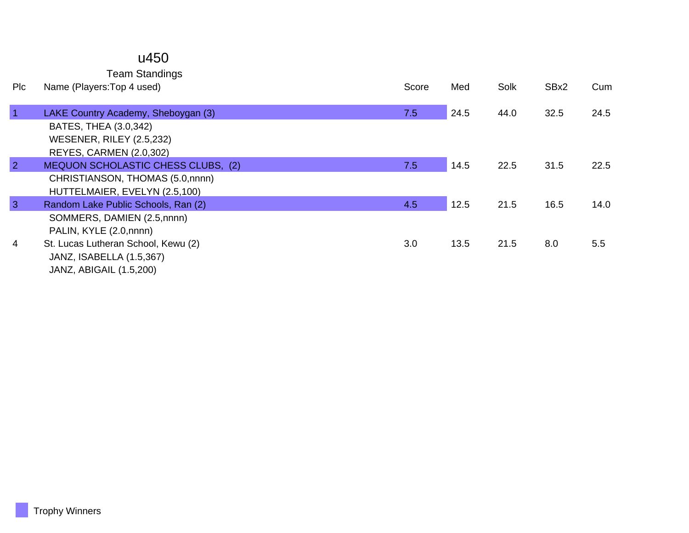#### u450

Team Standings

| Pic            | Name (Players: Top 4 used)          | Score | Med  | Solk | SBx2 | Cum  |
|----------------|-------------------------------------|-------|------|------|------|------|
| $\overline{1}$ | LAKE Country Academy, Sheboygan (3) | 7.5   | 24.5 | 44.0 | 32.5 | 24.5 |
|                | BATES, THEA (3.0,342)               |       |      |      |      |      |
|                | <b>WESENER, RILEY (2.5,232)</b>     |       |      |      |      |      |
|                | REYES, CARMEN (2.0,302)             |       |      |      |      |      |
| $\overline{2}$ | MEQUON SCHOLASTIC CHESS CLUBS, (2)  | 7.5   | 14.5 | 22.5 | 31.5 | 22.5 |
|                | CHRISTIANSON, THOMAS (5.0, nnnn)    |       |      |      |      |      |
|                | HUTTELMAIER, EVELYN (2.5,100)       |       |      |      |      |      |
| $\overline{3}$ | Random Lake Public Schools, Ran (2) | 4.5   | 12.5 | 21.5 | 16.5 | 14.0 |
|                | SOMMERS, DAMIEN (2.5,nnnn)          |       |      |      |      |      |
|                | PALIN, KYLE (2.0,nnnn)              |       |      |      |      |      |
| 4              | St. Lucas Lutheran School, Kewu (2) | 3.0   | 13.5 | 21.5 | 8.0  | 5.5  |
|                | JANZ, ISABELLA (1.5,367)            |       |      |      |      |      |
|                | JANZ, ABIGAIL (1.5,200)             |       |      |      |      |      |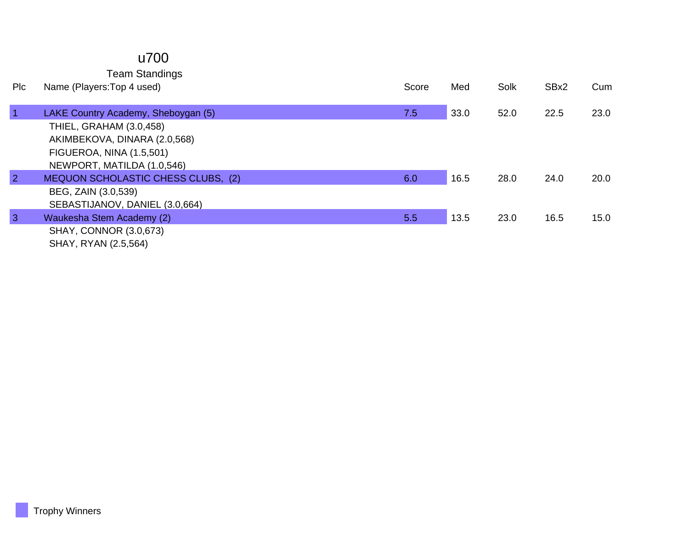### u700

Team Standings

| <b>PIC</b>     | Name (Players: Top 4 used)          | Score | Med  | Solk | SBx2 | Cum  |
|----------------|-------------------------------------|-------|------|------|------|------|
|                |                                     |       |      |      |      |      |
| $\overline{1}$ | LAKE Country Academy, Sheboygan (5) | 7.5   | 33.0 | 52.0 | 22.5 | 23.0 |
|                | THIEL, GRAHAM (3.0,458)             |       |      |      |      |      |
|                | AKIMBEKOVA, DINARA (2.0,568)        |       |      |      |      |      |
|                | FIGUEROA, NINA (1.5,501)            |       |      |      |      |      |
|                | NEWPORT, MATILDA (1.0,546)          |       |      |      |      |      |
| $\overline{2}$ | MEQUON SCHOLASTIC CHESS CLUBS, (2)  | 6.0   | 16.5 | 28.0 | 24.0 | 20.0 |
|                | BEG, ZAIN (3.0,539)                 |       |      |      |      |      |
|                | SEBASTIJANOV, DANIEL (3.0,664)      |       |      |      |      |      |
| 3              | Waukesha Stem Academy (2)           | 5.5   | 13.5 | 23.0 | 16.5 | 15.0 |
|                | <b>SHAY, CONNOR (3.0,673)</b>       |       |      |      |      |      |
|                | SHAY, RYAN (2.5,564)                |       |      |      |      |      |